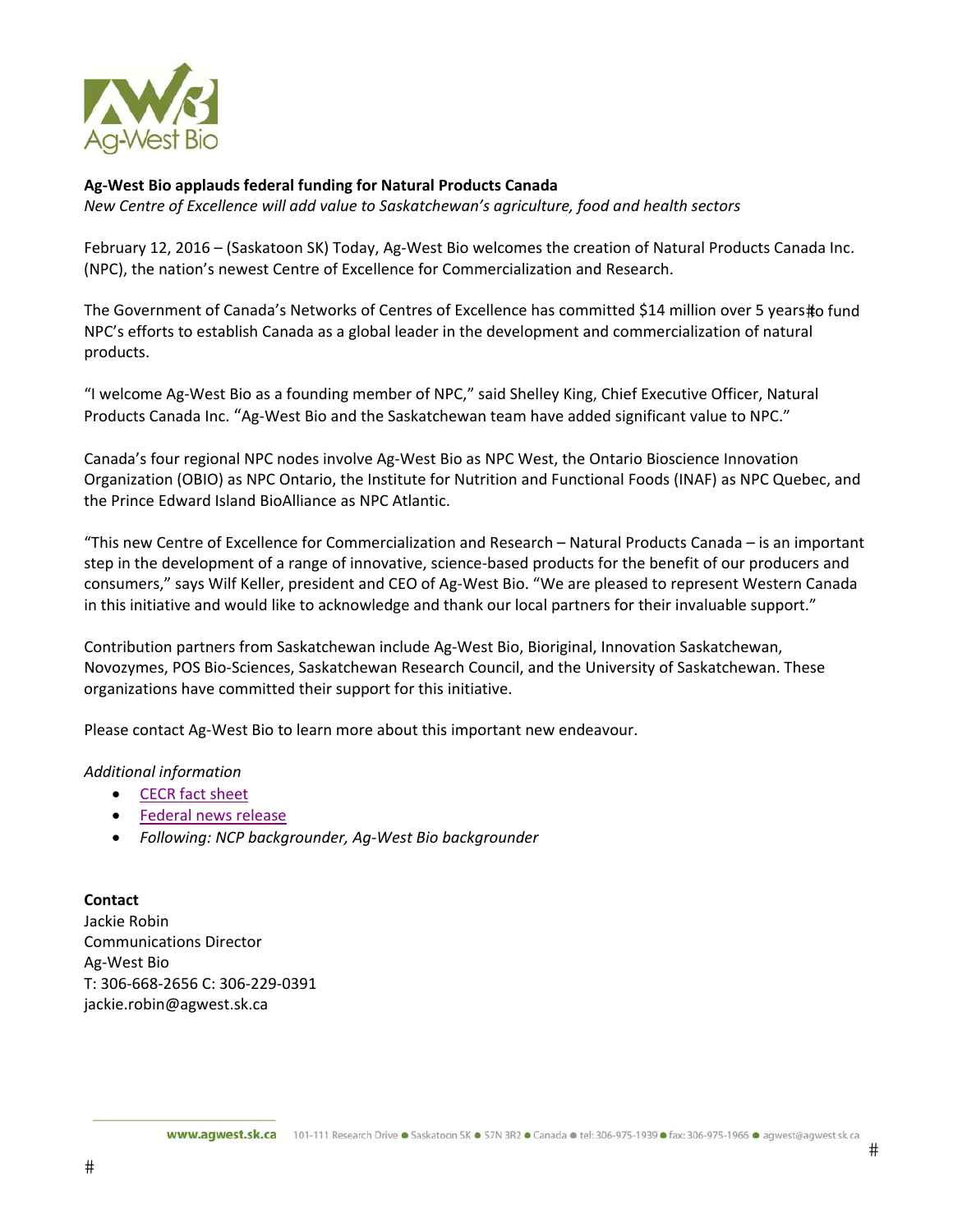

## **Ag‐West Bio applauds federal funding for Natural Products Canada**

*New Centre of Excellence will add value to Saskatchewan's agriculture, food and health sectors*

February 12, 2016 – (Saskatoon SK) Today, Ag‐West Bio welcomes the creation of Natural Products Canada Inc. (NPC), the nation's newest Centre of Excellence for Commercialization and Research.

The Government of Canada's Networks of Centres of Excellence has committed \$14 million over 5 years#o fund NPC's efforts to establish Canada as a global leader in the development and commercialization of natural products.

"I welcome Ag‐West Bio as a founding member of NPC," said Shelley King, Chief Executive Officer, Natural Products Canada Inc. "Ag‐West Bio and the Saskatchewan team have added significant value to NPC."

Canada's four regional NPC nodes involve Ag‐West Bio as NPC West, the Ontario Bioscience Innovation Organization (OBIO) as NPC Ontario, the Institute for Nutrition and Functional Foods (INAF) as NPC Quebec, and the Prince Edward Island BioAlliance as NPC Atlantic.

"This new Centre of Excellence for Commercialization and Research – Natural Products Canada – is an important step in the development of a range of innovative, science‐based products for the benefit of our producers and consumers," says Wilf Keller, president and CEO of Ag‐West Bio. "We are pleased to represent Western Canada in this initiative and would like to acknowledge and thank our local partners for their invaluable support."

Contribution partners from Saskatchewan include Ag‐West Bio, Bioriginal, Innovation Saskatchewan, Novozymes, POS Bio‐Sciences, Saskatchewan Research Council, and the University of Saskatchewan. These organizations have committed their support for this initiative.

Please contact Ag‐West Bio to learn more about this important new endeavour.

## *Additional information*

- CECR fact sheet
- Federal news release
- *Following: NCP backgrounder, Ag‐West Bio backgrounder*

**Contact** Jackie Robin Communications Director Ag‐West Bio T: 306‐668‐2656 C: 306‐229‐0391 jackie.robin@agwest.sk.ca

#